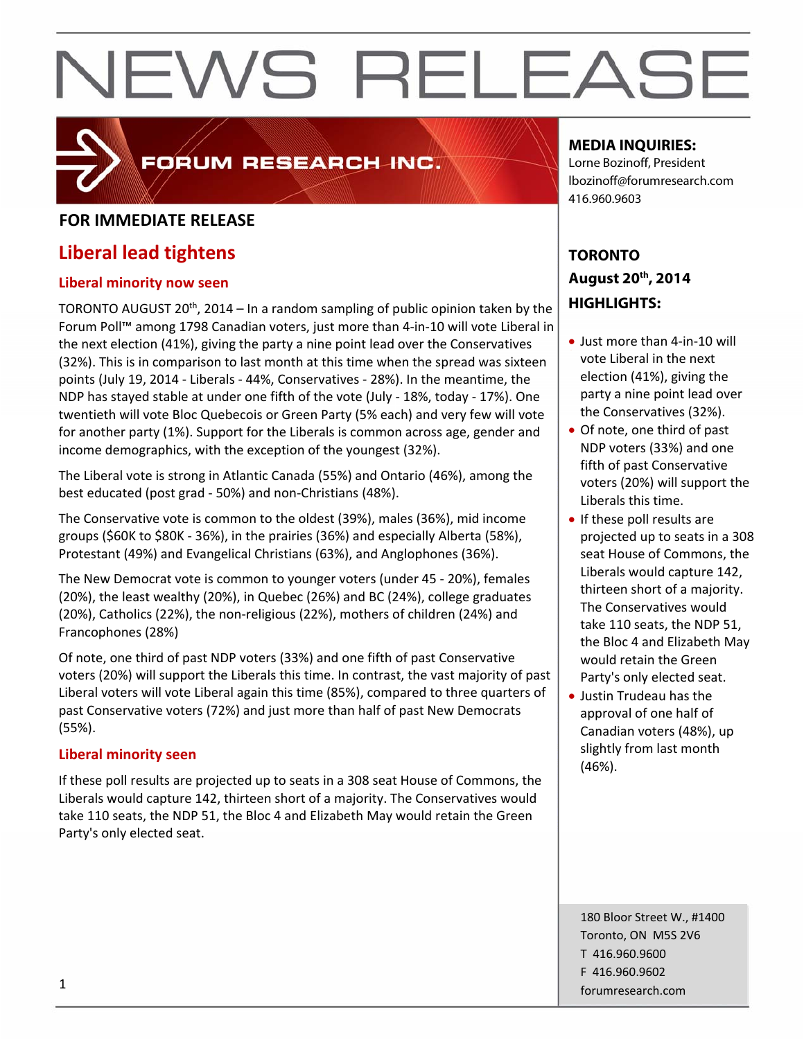### FORUM RESEARCH INC.

### **FOR IMMEDIATE RELEASE**

### **Liberal lead tightens**

#### **Liberal minority now seen**

TORONTO AUGUST 20<sup>th</sup>, 2014 – In a random sampling of public opinion taken by the Forum Poll™ among 1798 Canadian voters, just more than 4‐in‐10 will vote Liberal in the next election (41%), giving the party a nine point lead over the Conservatives (32%). This is in comparison to last month at this time when the spread was sixteen points (July 19, 2014 ‐ Liberals ‐ 44%, Conservatives ‐ 28%). In the meantime, the NDP has stayed stable at under one fifth of the vote (July ‐ 18%, today ‐ 17%). One twentieth will vote Bloc Quebecois or Green Party (5% each) and very few will vote for another party (1%). Support for the Liberals is common across age, gender and income demographics, with the exception of the youngest (32%).

The Liberal vote is strong in Atlantic Canada (55%) and Ontario (46%), among the best educated (post grad ‐ 50%) and non‐Christians (48%).

The Conservative vote is common to the oldest (39%), males (36%), mid income groups (\$60K to \$80K ‐ 36%), in the prairies (36%) and especially Alberta (58%), Protestant (49%) and Evangelical Christians (63%), and Anglophones (36%).

The New Democrat vote is common to younger voters (under 45 ‐ 20%), females (20%), the least wealthy (20%), in Quebec (26%) and BC (24%), college graduates (20%), Catholics (22%), the non‐religious (22%), mothers of children (24%) and Francophones (28%)

Of note, one third of past NDP voters (33%) and one fifth of past Conservative voters (20%) will support the Liberals this time. In contrast, the vast majority of past Liberal voters will vote Liberal again this time (85%), compared to three quarters of past Conservative voters (72%) and just more than half of past New Democrats (55%).

#### **Liberal minority seen**

If these poll results are projected up to seats in a 308 seat House of Commons, the Liberals would capture 142, thirteen short of a majority. The Conservatives would take 110 seats, the NDP 51, the Bloc 4 and Elizabeth May would retain the Green Party's only elected seat.

#### **MEDIA INQUIRIES:**

Lorne Bozinoff, President lbozinoff@forumresearch.com 416.960.9603

### **TORONTO August 20th, 2014 HIGHLIGHTS:**

- Just more than 4-in-10 will vote Liberal in the next election (41%), giving the party a nine point lead over the Conservatives (32%).
- Of note, one third of past NDP voters (33%) and one fifth of past Conservative voters (20%) will support the Liberals this time.
- If these poll results are projected up to seats in a 308 seat House of Commons, the Liberals would capture 142, thirteen short of a majority. The Conservatives would take 110 seats, the NDP 51, the Bloc 4 and Elizabeth May would retain the Green Party's only elected seat.
- Justin Trudeau has the approval of one half of Canadian voters (48%), up slightly from last month (46%).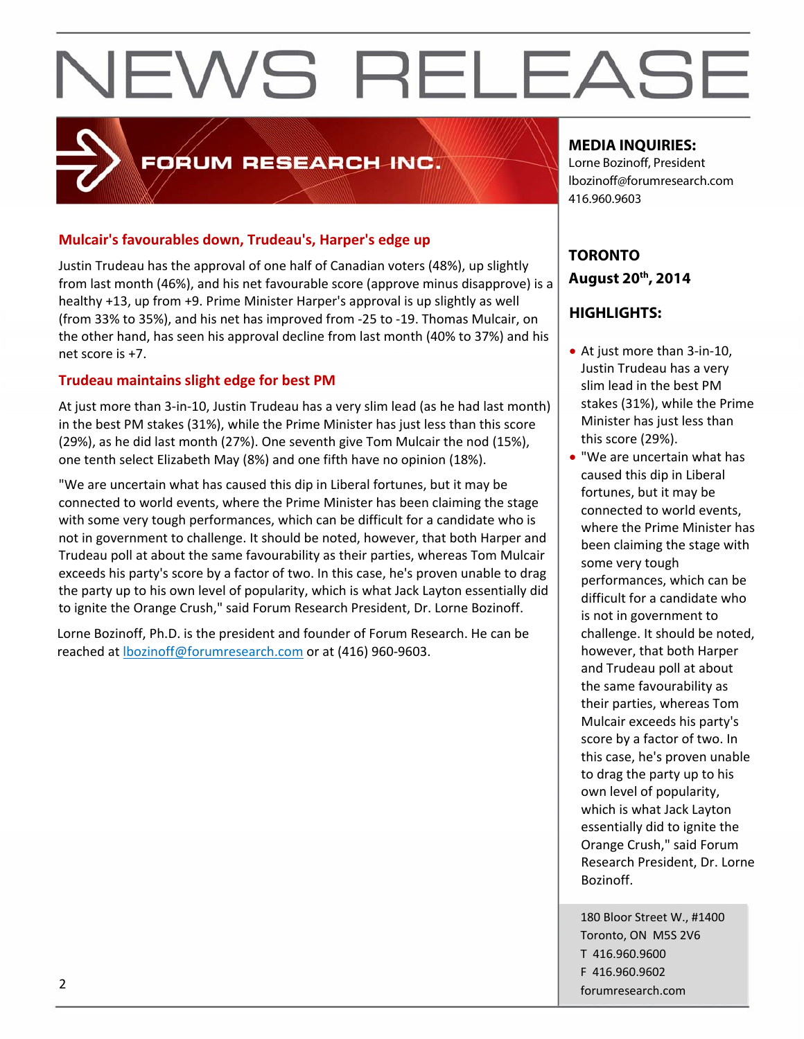### FORUM RESEARCH INC.

#### **Mulcair's favourables down, Trudeau's, Harper's edge up**

Justin Trudeau has the approval of one half of Canadian voters (48%), up slightly from last month (46%), and his net favourable score (approve minus disapprove) is a healthy +13, up from +9. Prime Minister Harper's approval is up slightly as well (from 33% to 35%), and his net has improved from ‐25 to ‐19. Thomas Mulcair, on the other hand, has seen his approval decline from last month (40% to 37%) and his net score is +7.

#### **Trudeau maintains slight edge for best PM**

At just more than 3‐in‐10, Justin Trudeau has a very slim lead (as he had last month) in the best PM stakes (31%), while the Prime Minister has just less than this score (29%), as he did last month (27%). One seventh give Tom Mulcair the nod (15%), one tenth select Elizabeth May (8%) and one fifth have no opinion (18%).

"We are uncertain what has caused this dip in Liberal fortunes, but it may be connected to world events, where the Prime Minister has been claiming the stage with some very tough performances, which can be difficult for a candidate who is not in government to challenge. It should be noted, however, that both Harper and Trudeau poll at about the same favourability as their parties, whereas Tom Mulcair exceeds his party's score by a factor of two. In this case, he's proven unable to drag the party up to his own level of popularity, which is what Jack Layton essentially did to ignite the Orange Crush," said Forum Research President, Dr. Lorne Bozinoff.

Lorne Bozinoff, Ph.D. is the president and founder of Forum Research. He can be reached at lbozinoff@forumresearch.com or at (416) 960‐9603.

#### **MEDIA INQUIRIES:**

Lorne Bozinoff, President lbozinoff@forumresearch.com 416.960.9603

### **TORONTO August 20th, 2014**

#### **HIGHLIGHTS:**

- At just more than 3-in-10, Justin Trudeau has a very slim lead in the best PM stakes (31%), while the Prime Minister has just less than this score (29%).
- "We are uncertain what has caused this dip in Liberal fortunes, but it may be connected to world events, where the Prime Minister has been claiming the stage with some very tough performances, which can be difficult for a candidate who is not in government to challenge. It should be noted, however, that both Harper and Trudeau poll at about the same favourability as their parties, whereas Tom Mulcair exceeds his party's score by a factor of two. In this case, he's proven unable to drag the party up to his own level of popularity, which is what Jack Layton essentially did to ignite the Orange Crush," said Forum Research President, Dr. Lorne Bozinoff.

180 Bloor Street W., #1400 Toronto, ON M5S 2V6 T 416.960.9600 F 416.960.9602 example to the contract of the contract of the contract of the contract of the contract of the contract of the contract of the contract of the contract of the contract of the contract of the contract of the contract of the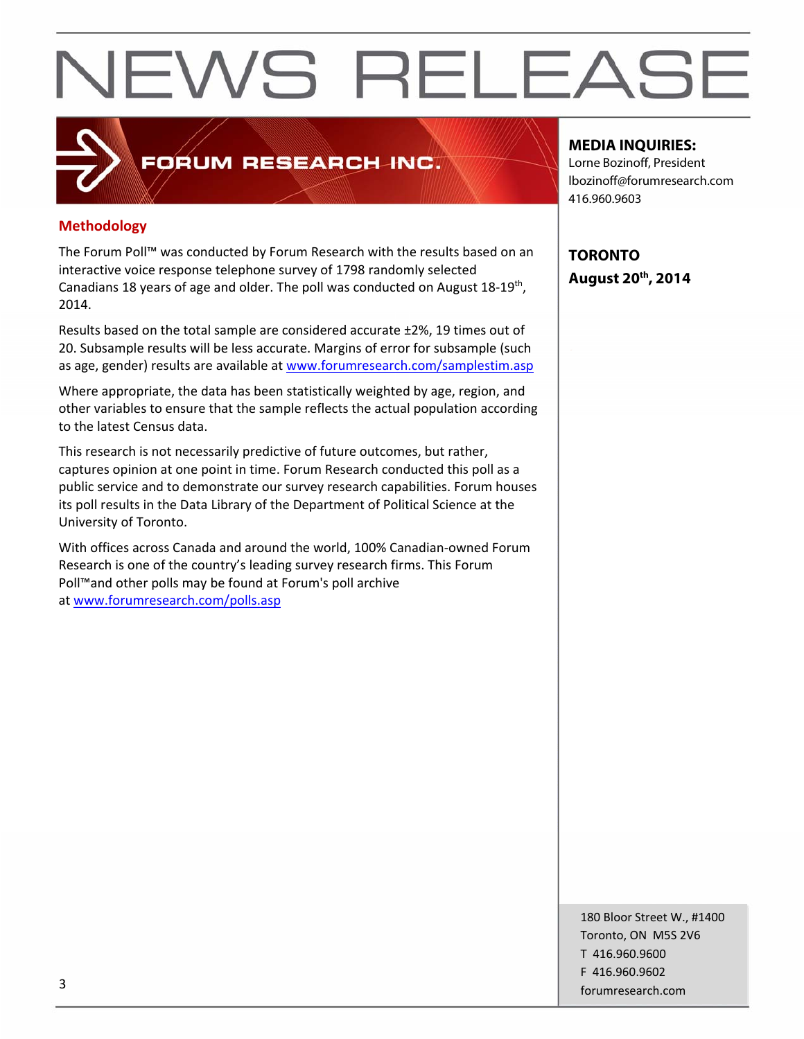#### **Methodology**

The Forum Poll™ was conducted by Forum Research with the results based on an interactive voice response telephone survey of 1798 randomly selected Canadians 18 years of age and older. The poll was conducted on August 18‐19th, 2014.

FORUM RESEARCH INC.

Results based on the total sample are considered accurate ±2%, 19 times out of 20. Subsample results will be less accurate. Margins of error for subsample (such as age, gender) results are available at www.forumresearch.com/samplestim.asp

Where appropriate, the data has been statistically weighted by age, region, and other variables to ensure that the sample reflects the actual population according to the latest Census data.

This research is not necessarily predictive of future outcomes, but rather, captures opinion at one point in time. Forum Research conducted this poll as a public service and to demonstrate our survey research capabilities. Forum houses its poll results in the Data Library of the Department of Political Science at the University of Toronto.

With offices across Canada and around the world, 100% Canadian‐owned Forum Research is one of the country's leading survey research firms. This Forum Poll™and other polls may be found at Forum's poll archive at www.forumresearch.com/polls.asp

#### **MEDIA INQUIRIES:**

Lorne Bozinoff, President lbozinoff@forumresearch.com 416.960.9603

**TORONTO August 20th, 2014** 

180 Bloor Street W., #1400 Toronto, ON M5S 2V6 T 416.960.9600 F 416.960.9602 forumresearch.com and the set of the set of the set of the set of the set of the set of the set of the set of the set of the set of the set of the set of the set of the set of the set of the set of the set of the set of th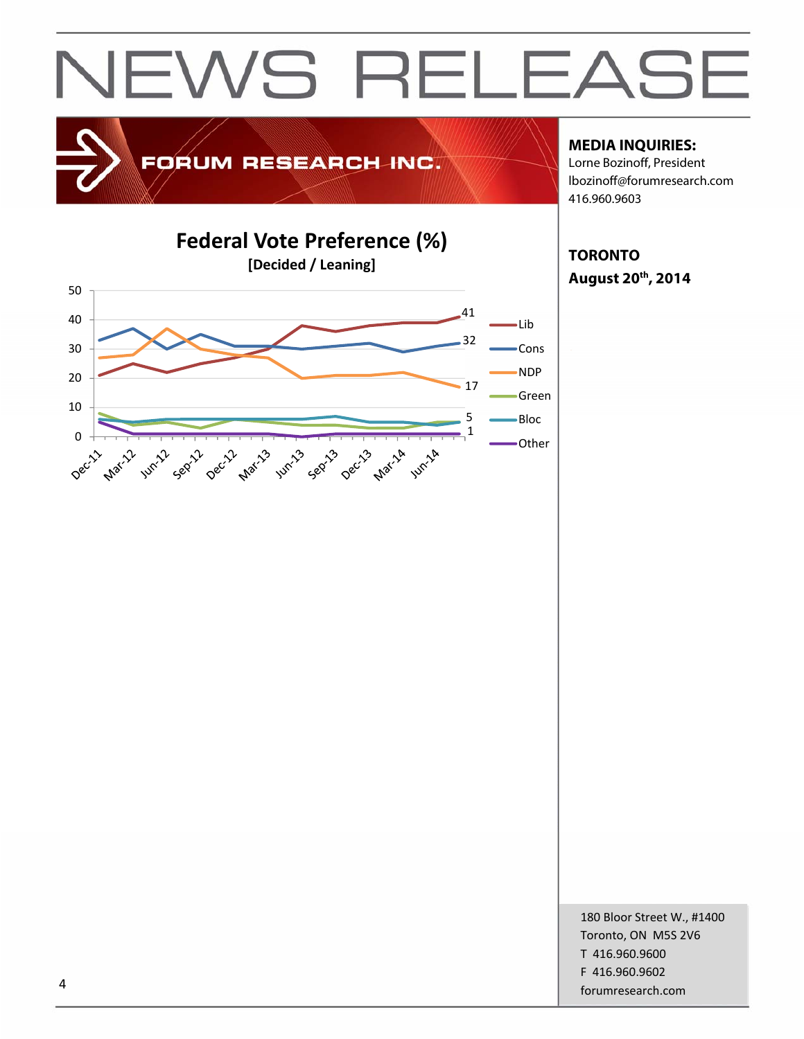

### FORUM RESEARCH INC.

#### **MEDIA INQUIRIES:**

Lorne Bozinoff, President lbozinoff@forumresearch.com 416.960.9603



**TORONTO August 20th, 2014** 

180 Bloor Street W., #1400 Toronto, ON M5S 2V6 T 416.960.9600 F 416.960.9602 example to the contract of the contract of the contract of the contract of the contract of the contract of the contract of the contract of the contract of the contract of the contract of the contract of the contract of the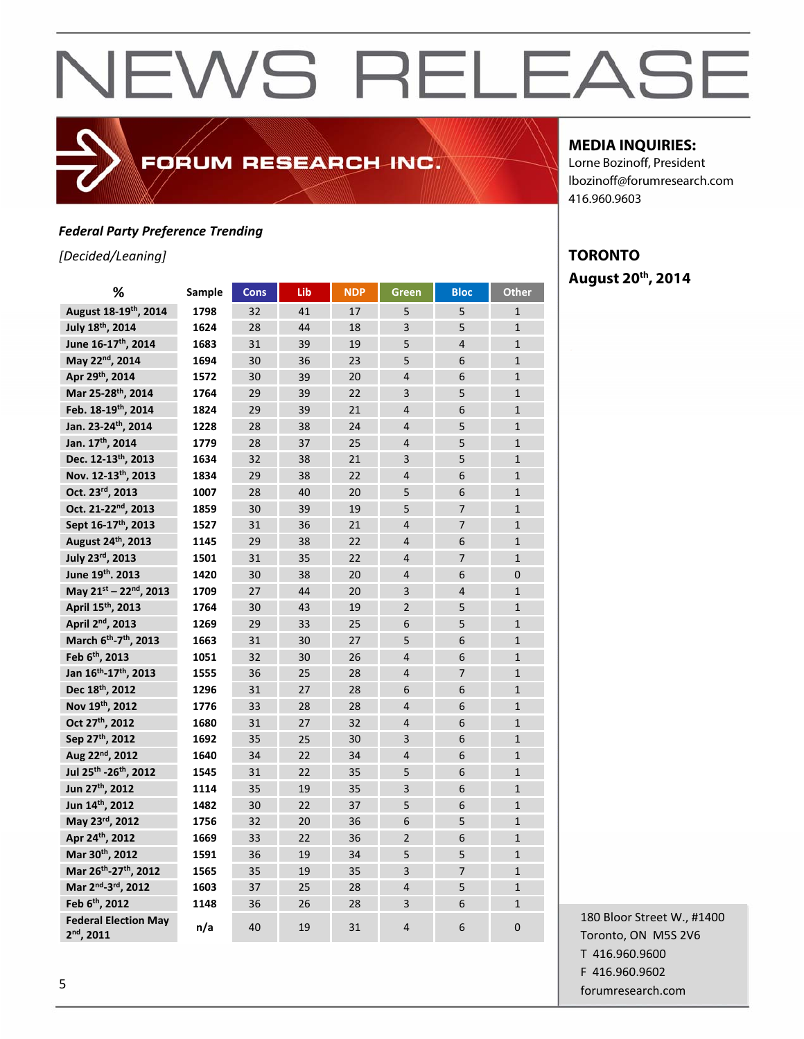#### *Federal Party Preference Trending*

*[Decided/Leaning]*

| ℅                                             | <b>Sample</b> | Cons | Lib | <b>NDP</b> | Green          | <b>Bloc</b>    | Other          |
|-----------------------------------------------|---------------|------|-----|------------|----------------|----------------|----------------|
| August 18-19th, 2014                          | 1798          | 32   | 41  | 17         | 5              | 5              | $\mathbf{1}$   |
| July 18th, 2014                               | 1624          | 28   | 44  | 18         | 3              | 5              | $\mathbf{1}$   |
| June 16-17 <sup>th</sup> , 2014               | 1683          | 31   | 39  | 19         | 5              | $\overline{4}$ | $\mathbf{1}$   |
| May 22nd, 2014                                | 1694          | 30   | 36  | 23         | 5              | 6              | $\mathbf{1}$   |
| Apr 29th, 2014                                | 1572          | 30   | 39  | 20         | $\overline{4}$ | 6              | $\mathbf{1}$   |
| Mar 25-28th, 2014                             | 1764          | 29   | 39  | 22         | 3              | 5              | $\mathbf{1}$   |
| Feb. 18-19th, 2014                            | 1824          | 29   | 39  | 21         | $\overline{4}$ | 6              | $\mathbf{1}$   |
| Jan. 23-24th, 2014                            | 1228          | 28   | 38  | 24         | 4              | 5              | $\mathbf{1}$   |
| Jan. 17th, 2014                               | 1779          | 28   | 37  | 25         | $\overline{4}$ | 5              | $\overline{1}$ |
| Dec. 12-13th, 2013                            | 1634          | 32   | 38  | 21         | 3              | 5              | $\mathbf{1}$   |
| Nov. 12-13th, 2013                            | 1834          | 29   | 38  | 22         | 4              | 6              | $\mathbf{1}$   |
| Oct. 23rd, 2013                               | 1007          | 28   | 40  | 20         | 5              | 6              | $\mathbf{1}$   |
| Oct. 21-22 <sup>nd</sup> , 2013               | 1859          | 30   | 39  | 19         | 5              | $\overline{7}$ | $\mathbf{1}$   |
| Sept 16-17 <sup>th</sup> , 2013               | 1527          | 31   | 36  | 21         | $\overline{4}$ | $\overline{7}$ | $\mathbf{1}$   |
| August 24 <sup>th</sup> , 2013                | 1145          | 29   | 38  | 22         | $\overline{4}$ | 6              | $\mathbf{1}$   |
| July 23rd, 2013                               | 1501          | 31   | 35  | 22         | 4              | 7              | $\mathbf{1}$   |
| June 19th. 2013                               | 1420          | 30   | 38  | 20         | 4              | 6              | 0              |
| May 21st - 22nd, 2013                         | 1709          | 27   | 44  | 20         | 3              | $\overline{4}$ | $\mathbf{1}$   |
| April 15 <sup>th</sup> , 2013                 | 1764          | 30   | 43  | 19         | $\overline{2}$ | 5              | $\mathbf{1}$   |
| April 2 <sup>nd</sup> , 2013                  | 1269          | 29   | 33  | 25         | 6              | 5              | $\mathbf{1}$   |
| March 6 <sup>th</sup> -7 <sup>th</sup> , 2013 | 1663          | 31   | 30  | 27         | 5              | 6              | $\mathbf{1}$   |
| Feb 6 <sup>th</sup> , 2013                    | 1051          | 32   | 30  | 26         | 4              | 6              | $\mathbf{1}$   |
| Jan 16 <sup>th</sup> -17 <sup>th</sup> , 2013 | 1555          | 36   | 25  | 28         | 4              | $\overline{7}$ | $\mathbf{1}$   |
| Dec 18th, 2012                                | 1296          | 31   | 27  | 28         | 6              | 6              | $\mathbf{1}$   |
| Nov 19th, 2012                                | 1776          | 33   | 28  | 28         | 4              | 6              | $\mathbf{1}$   |
| Oct 27 <sup>th</sup> , 2012                   | 1680          | 31   | 27  | 32         | $\overline{4}$ | 6              | $\mathbf{1}$   |
| Sep 27th, 2012                                | 1692          | 35   | 25  | 30         | 3              | 6              | $\mathbf{1}$   |
| Aug 22nd, 2012                                | 1640          | 34   | 22  | 34         | $\overline{4}$ | 6              | $\mathbf{1}$   |
| Jul 25 <sup>th</sup> -26 <sup>th</sup> , 2012 | 1545          | 31   | 22  | 35         | 5              | 6              | $\mathbf{1}$   |
| Jun 27 <sup>th</sup> , 2012                   | 1114          | 35   | 19  | 35         | 3              | 6              | $\mathbf{1}$   |
| Jun 14th, 2012                                | 1482          | 30   | 22  | 37         | 5              | 6              | $\mathbf{1}$   |
| May 23rd, 2012                                | 1756          | 32   | 20  | 36         | 6              | 5              | $\mathbf{1}$   |
| Apr 24th, 2012                                | 1669          | 33   | 22  | 36         | $\overline{2}$ | 6              | $\mathbf{1}$   |
| Mar 30th, 2012                                | 1591          | 36   | 19  | 34         | 5              | 5              | $\mathbf{1}$   |
| Mar 26th-27th, 2012                           | 1565          | 35   | 19  | 35         | 3              | $\overline{7}$ | $\mathbf{1}$   |
| Mar 2nd <sub>-3rd</sub> , 2012                | 1603          | 37   | 25  | 28         | $\overline{4}$ | 5              | $\mathbf{1}$   |
| Feb 6 <sup>th</sup> , 2012                    | 1148          | 36   | 26  | 28         | 3              | 6              | $\mathbf{1}$   |
| <b>Federal Election May</b><br>$2nd$ , 2011   | n/a           | 40   | 19  | 31         | 4              | 6              | $\overline{0}$ |

FORUM RESEARCH INC.

#### **MEDIA INQUIRIES:**

Lorne Bozinoff, President lbozinoff@forumresearch.com 416.960.9603

### **TORONTO August 20th, 2014**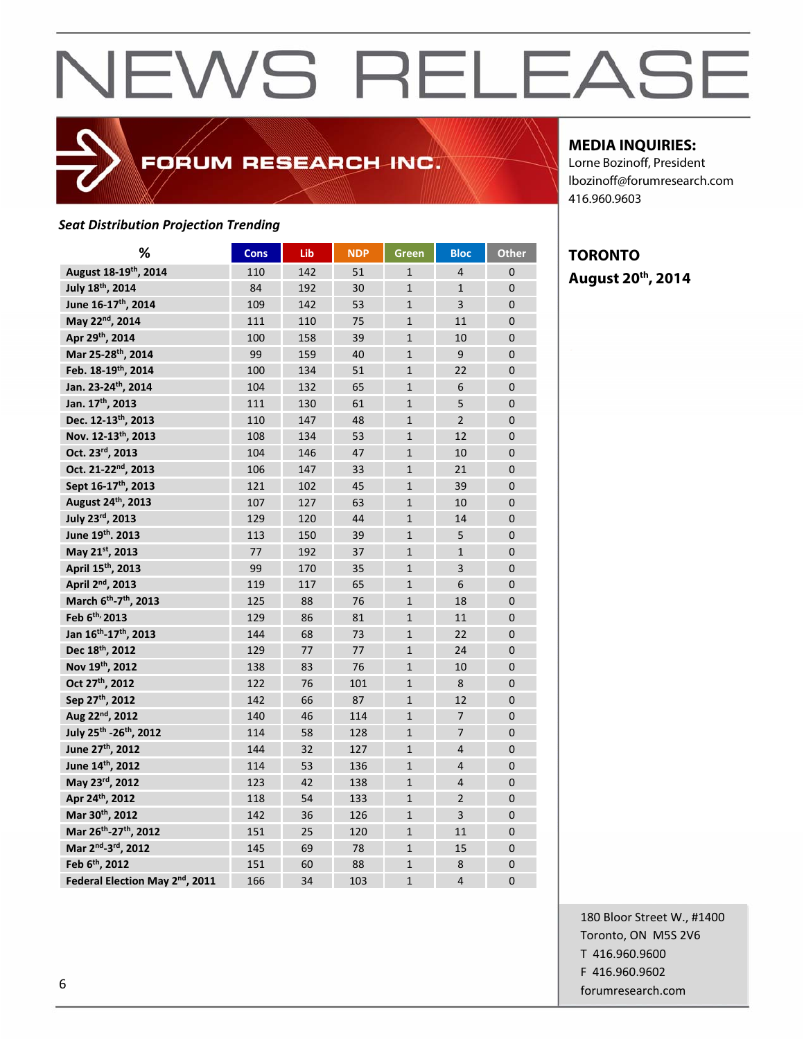### FORUM RESEARCH INC.

#### *Seat Distribution Projection Trending*

| %                                              | <b>Cons</b> | Lib | <b>NDP</b> | Green          | <b>Bloc</b>    | Other          |
|------------------------------------------------|-------------|-----|------------|----------------|----------------|----------------|
| August 18-19th, 2014                           | 110         | 142 | 51         | $\mathbf{1}$   | $\overline{4}$ | $\mathbf{0}$   |
| July 18th, 2014                                | 84          | 192 | 30         | $\mathbf{1}$   | $\mathbf{1}$   | $\overline{0}$ |
| June 16-17 <sup>th</sup> , 2014                | 109         | 142 | 53         | $\mathbf{1}$   | $\overline{3}$ | $\Omega$       |
| May 22nd, 2014                                 | 111         | 110 | 75         | $\mathbf{1}$   | 11             | $\mathbf 0$    |
| Apr 29th, 2014                                 | 100         | 158 | 39         | $\mathbf{1}$   | 10             | $\overline{0}$ |
| Mar 25-28th, 2014                              | 99          | 159 | 40         | $\mathbf{1}$   | 9              | $\overline{0}$ |
| Feb. 18-19th, 2014                             | 100         | 134 | 51         | $\mathbf{1}$   | 22             | $\overline{0}$ |
| Jan. 23-24th, 2014                             | 104         | 132 | 65         | $\mathbf{1}$   | 6              | $\mathbf{0}$   |
| Jan. 17th, 2013                                | 111         | 130 | 61         | $\mathbf{1}$   | 5              | $\mathbf{0}$   |
| Dec. 12-13 <sup>th</sup> , 2013                | 110         | 147 | 48         | $\mathbf{1}$   | $\overline{2}$ | $\mathbf 0$    |
| Nov. 12-13th, 2013                             | 108         | 134 | 53         | $\mathbf{1}$   | 12             | $\overline{0}$ |
| Oct. 23rd, 2013                                | 104         | 146 | 47         | $\overline{1}$ | 10             | $\overline{0}$ |
| Oct. 21-22 <sup>nd</sup> , 2013                | 106         | 147 | 33         | $\mathbf{1}$   | 21             | $\overline{0}$ |
| Sept 16-17 <sup>th</sup> , 2013                | 121         | 102 | 45         | $\overline{1}$ | 39             | $\overline{0}$ |
| August 24th, 2013                              | 107         | 127 | 63         | $\mathbf{1}$   | 10             | $\overline{0}$ |
| July 23rd, 2013                                | 129         | 120 | 44         | $\mathbf{1}$   | 14             | $\mathbf 0$    |
| June 19th, 2013                                | 113         | 150 | 39         | $\mathbf{1}$   | 5              | $\mathbf 0$    |
| May 21st, 2013                                 | 77          | 192 | 37         | $\mathbf{1}$   | $\mathbf{1}$   | $\overline{0}$ |
| April 15 <sup>th</sup> , 2013                  | 99          | 170 | 35         | $\mathbf{1}$   | 3              | $\overline{0}$ |
| April 2 <sup>nd</sup> , 2013                   | 119         | 117 | 65         | $\mathbf{1}$   | 6              | $\overline{0}$ |
| March 6 <sup>th</sup> -7 <sup>th</sup> , 2013  | 125         | 88  | 76         | $\mathbf{1}$   | 18             | $\overline{0}$ |
| Feb 6 <sup>th,</sup> 2013                      | 129         | 86  | 81         | $\mathbf{1}$   | 11             | $\Omega$       |
| Jan 16 <sup>th</sup> -17 <sup>th</sup> , 2013  | 144         | 68  | 73         | $\mathbf{1}$   | 22             | $\mathbf 0$    |
| Dec 18th, 2012                                 | 129         | 77  | 77         | $\mathbf{1}$   | 24             | $\mathbf 0$    |
| Nov 19th, 2012                                 | 138         | 83  | 76         | $\mathbf{1}$   | 10             | $\overline{0}$ |
| Oct 27 <sup>th</sup> , 2012                    | 122         | 76  | 101        | $\mathbf{1}$   | 8              | $\overline{0}$ |
| Sep 27th, 2012                                 | 142         | 66  | 87         | $\mathbf{1}$   | 12             | $\mathbf{0}$   |
| Aug 22nd, 2012                                 | 140         | 46  | 114        | $\mathbf{1}$   | $\overline{7}$ | $\mathbf{0}$   |
| July 25 <sup>th</sup> -26 <sup>th</sup> , 2012 | 114         | 58  | 128        | $\mathbf{1}$   | $\overline{7}$ | $\mathbf 0$    |
| June 27 <sup>th</sup> , 2012                   | 144         | 32  | 127        | $\mathbf{1}$   | $\overline{4}$ | $\overline{0}$ |
| June 14th, 2012                                | 114         | 53  | 136        | $\mathbf{1}$   | $\overline{4}$ | $\overline{0}$ |
| May 23rd, 2012                                 | 123         | 42  | 138        | $\mathbf{1}$   | $\overline{4}$ | $\overline{0}$ |
| Apr 24th, 2012                                 | 118         | 54  | 133        | $\mathbf{1}$   | $\overline{2}$ | $\mathbf{0}$   |
| Mar 30th, 2012                                 | 142         | 36  | 126        | $\mathbf{1}$   | 3              | $\overline{0}$ |
| Mar 26th-27th, 2012                            | 151         | 25  | 120        | $\mathbf{1}$   | 11             | $\mathbf 0$    |
| Mar 2 <sup>nd</sup> -3 <sup>rd</sup> , 2012    | 145         | 69  | 78         | $\mathbf{1}$   | 15             | 0              |
| Feb 6 <sup>th</sup> , 2012                     | 151         | 60  | 88         | $\mathbf{1}$   | 8              | $\mathbf 0$    |
| Federal Election May 2 <sup>nd</sup> , 2011    | 166         | 34  | 103        | $\mathbf{1}$   | 4              | $\Omega$       |

#### **MEDIA INQUIRIES:**

Lorne Bozinoff, President lbozinoff@forumresearch.com 416.960.9603

### **TORONTO August 20th, 2014**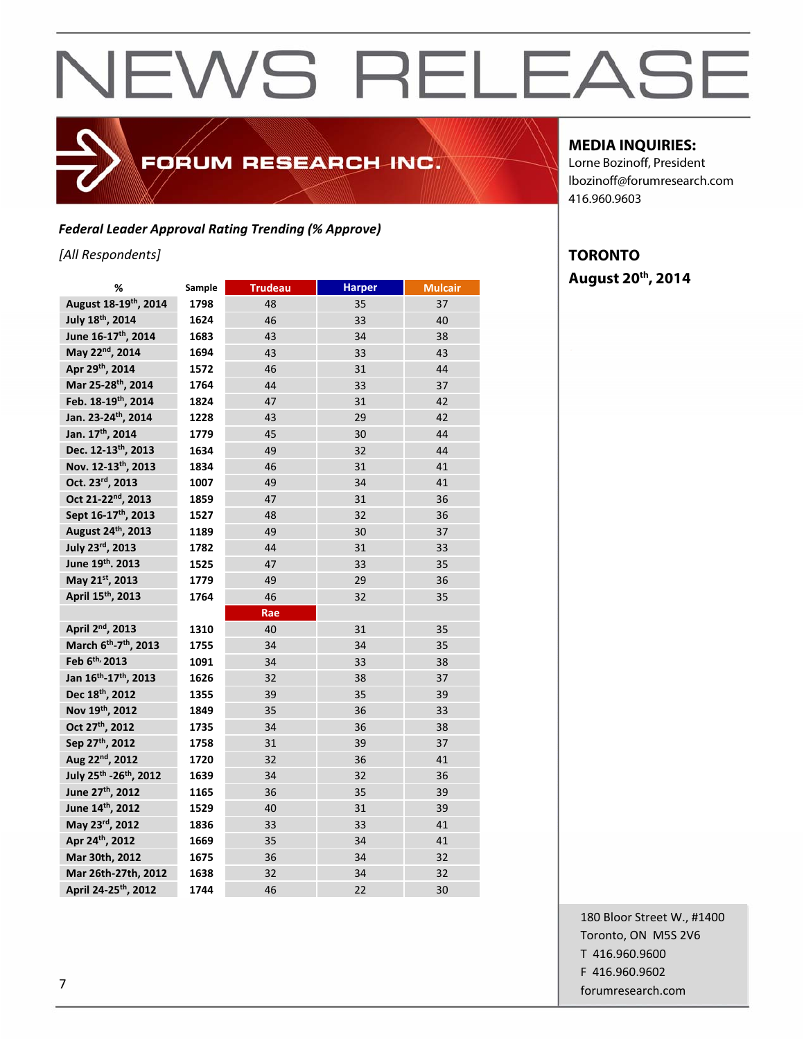FORUM RESEARCH INC.

*Federal Leader Approval Rating Trending (% Approve)*

*[All Respondents]*

| ℅                                             | Sample | <b>Trudeau</b> | <b>Harper</b> | <b>Mulcair</b> |
|-----------------------------------------------|--------|----------------|---------------|----------------|
| August 18-19th, 2014                          | 1798   | 48             | 35            | 37             |
| July 18th, 2014                               | 1624   | 46             | 33            | 40             |
| June 16-17 <sup>th</sup> , 2014               | 1683   | 43             | 34            | 38             |
| May 22nd, 2014                                | 1694   | 43             | 33            | 43             |
| Apr 29th, 2014                                | 1572   | 46             | 31            | 44             |
| Mar 25-28th, 2014                             | 1764   | 44             | 33            | 37             |
| Feb. 18-19th, 2014                            | 1824   | 47             | 31            | 42             |
| Jan. 23-24 <sup>th</sup> , 2014               | 1228   | 43             | 29            | 42             |
| Jan. 17 <sup>th</sup> , 2014                  | 1779   | 45             | 30            | 44             |
| Dec. 12-13th, 2013                            | 1634   | 49             | 32            | 44             |
| Nov. 12-13th, 2013                            | 1834   | 46             | 31            | 41             |
| Oct. 23rd, 2013                               | 1007   | 49             | 34            | 41             |
| Oct 21-22 <sup>nd</sup> , 2013                | 1859   | 47             | 31            | 36             |
| Sept 16-17 <sup>th</sup> , 2013               | 1527   | 48             | 32            | 36             |
| August 24 <sup>th</sup> , 2013                | 1189   | 49             | 30            | 37             |
| July 23rd, 2013                               | 1782   | 44             | 31            | 33             |
| June 19th. 2013                               | 1525   | 47             | 33            | 35             |
| May 21st, 2013                                | 1779   | 49             | 29            | 36             |
| April 15 <sup>th</sup> , 2013                 | 1764   | 46             | 32            | 35             |
|                                               |        | Rae            |               |                |
| April 2 <sup>nd</sup> , 2013                  | 1310   | 40             | 31            | 35             |
| March 6 <sup>th</sup> -7 <sup>th</sup> , 2013 | 1755   | 34             | 34            | 35             |
| Feb 6th, 2013                                 | 1091   | 34             | 33            | 38             |
| Jan 16 <sup>th</sup> -17 <sup>th</sup> , 2013 | 1626   | 32             | 38            | 37             |
| Dec 18th, 2012                                | 1355   | 39             | 35            | 39             |
| Nov 19th, 2012                                | 1849   | 35             | 36            | 33             |
| Oct 27 <sup>th</sup> , 2012                   | 1735   | 34             | 36            | 38             |
| Sep 27th, 2012                                | 1758   | 31             | 39            | 37             |
| Aug 22nd, 2012                                | 1720   | 32             | 36            | 41             |
| July 25th - 26th, 2012                        | 1639   | 34             | 32            | 36             |
| June 27 <sup>th</sup> , 2012                  | 1165   | 36             | 35            | 39             |
| June 14th, 2012                               | 1529   | 40             | 31            | 39             |
| May 23rd, 2012                                | 1836   | 33             | 33            | 41             |
| Apr 24th, 2012                                | 1669   | 35             | 34            | 41             |
| Mar 30th, 2012                                | 1675   | 36             | 34            | 32             |
| Mar 26th-27th, 2012                           | 1638   | 32             | 34            | 32             |
| April 24-25 <sup>th</sup> , 2012              | 1744   | 46             | 22            | 30             |

#### **MEDIA INQUIRIES:**

Lorne Bozinoff, President lbozinoff@forumresearch.com 416.960.9603

#### **TORONTO August 20th, 2014**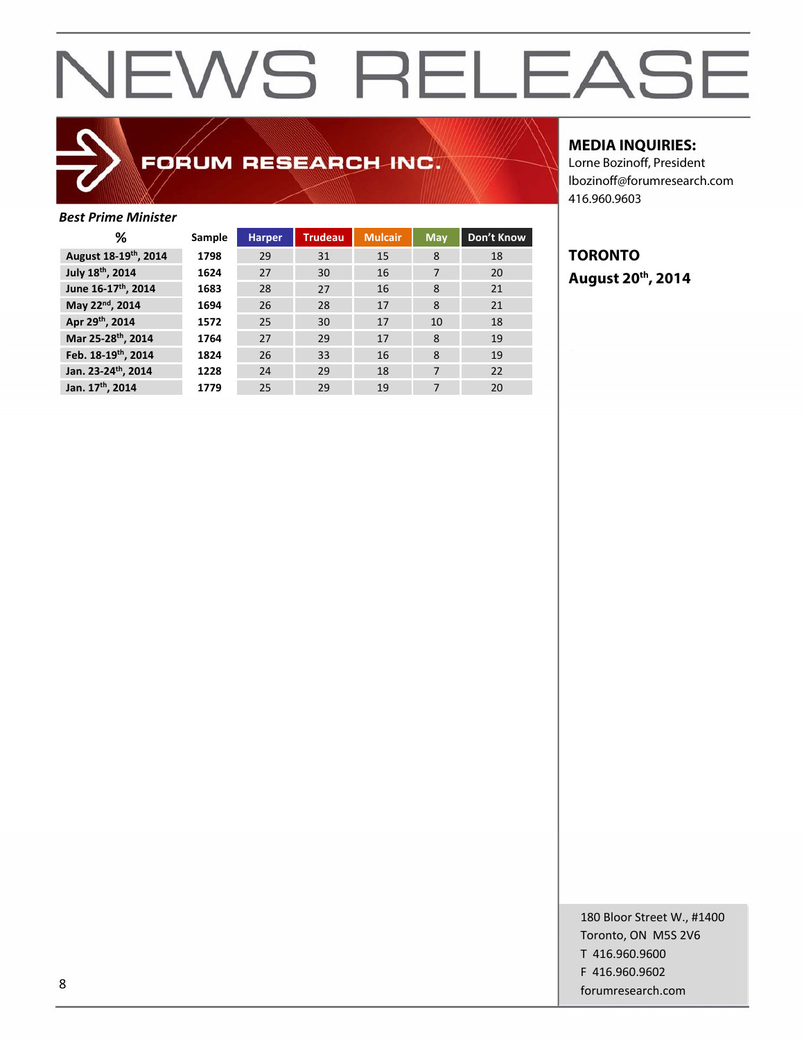### FORUM RESEARCH INC.

#### *Best Prime Minister*

| %                                 | Sample | <b>Harper</b> | <b>Trudeau</b> | <b>Mulcair</b> | May | Don't Know |
|-----------------------------------|--------|---------------|----------------|----------------|-----|------------|
| August 18-19 <sup>th</sup> , 2014 | 1798   | 29            | 31             | 15             | 8   | 18         |
| July 18th, 2014                   | 1624   | 27            | 30             | 16             | 7   | 20         |
| June 16-17th, 2014                | 1683   | 28            | 27             | 16             | 8   | 21         |
| May 22nd, 2014                    | 1694   | 26            | 28             | 17             | 8   | 21         |
| Apr 29th, 2014                    | 1572   | 25            | 30             | 17             | 10  | 18         |
| Mar 25-28th, 2014                 | 1764   | 27            | 29             | 17             | 8   | 19         |
| Feb. 18-19th, 2014                | 1824   | 26            | 33             | 16             | 8   | 19         |
| Jan. 23-24th, 2014                | 1228   | 24            | 29             | 18             | 7   | 22         |
| Jan. 17th, 2014                   | 1779   | 25            | 29             | 19             | 7   | 20         |
|                                   |        |               |                |                |     |            |

#### **MEDIA INQUIRIES:**

Lorne Bozinoff, President lbozinoff@forumresearch.com 416.960.9603

### **TORONTO August 20th, 2014**

180 Bloor Street W., #1400 Toronto, ON M5S 2V6 T 416.960.9600 F 416.960.9602 example and the state of the state of the state of the state of the state of the state of the state of the state of the state of the state of the state of the state of the state of the state of the state of the state of th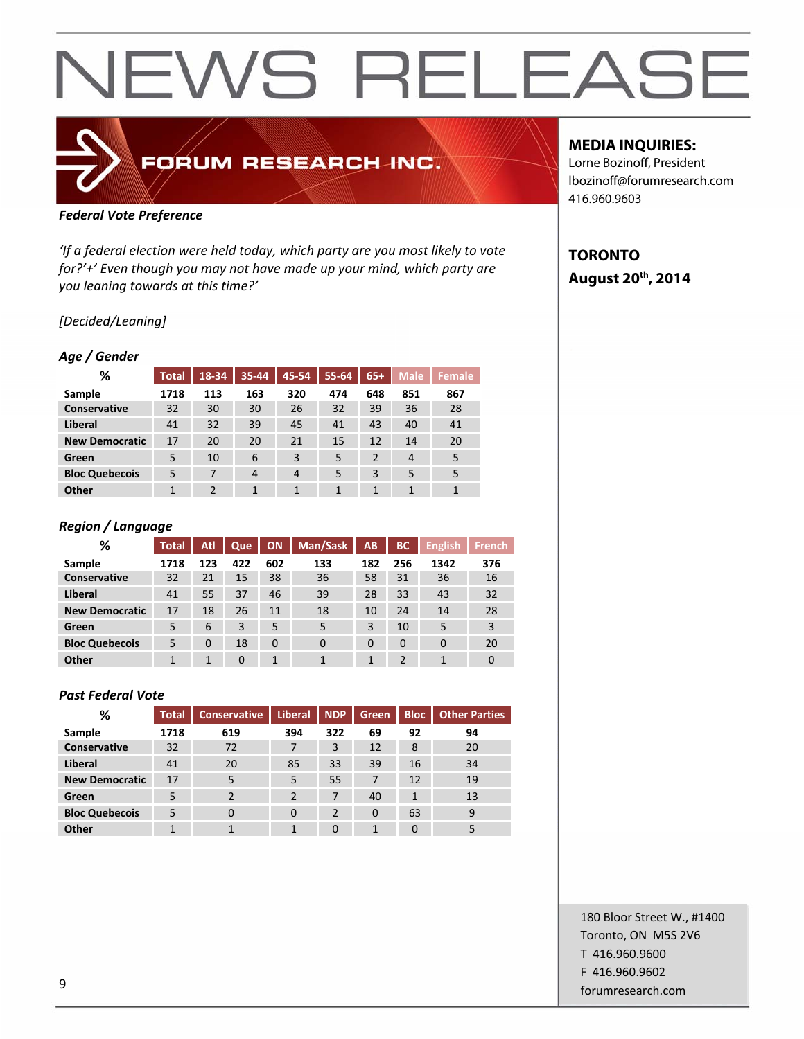### FORUM RESEARCH INC.

#### *Federal Vote Preference*

*'If a federal election were held today, which party are you most likely to vote for?'+' Even though you may not have made up your mind, which party are you leaning towards at this time?'*

#### *[Decided/Leaning]*

#### *Age / Gender*

| %                     | <b>Total</b> | 18-34          | $35 - 44$      | 45-54          | 55-64 | $65+$          | <b>Male</b>    | Female       |
|-----------------------|--------------|----------------|----------------|----------------|-------|----------------|----------------|--------------|
| Sample                | 1718         | 113            | 163            | 320            | 474   | 648            | 851            | 867          |
| <b>Conservative</b>   | 32           | 30             | 30             | 26             | 32    | 39             | 36             | 28           |
| Liberal               | 41           | 32             | 39             | 45             | 41    | 43             | 40             | 41           |
| <b>New Democratic</b> | 17           | 20             | 20             | 21             | 15    | 12             | 14             | 20           |
| Green                 | 5            | 10             | 6              | 3              | 5     | $\overline{2}$ | $\overline{4}$ | 5            |
| <b>Bloc Quebecois</b> | 5            | 7              | $\overline{4}$ | $\overline{4}$ | 5     | 3              | 5              | 5            |
| Other                 | 1            | $\overline{2}$ | 1              | 1              | 1     | 1              | 1              | $\mathbf{1}$ |

#### *Region / Language*

| %                     | <b>Total</b> | Atl      | Que      | <b>ON</b> | Man/Sask | AB       | <b>BC</b>      | <b>English</b> | <b>French</b>  |
|-----------------------|--------------|----------|----------|-----------|----------|----------|----------------|----------------|----------------|
| Sample                | 1718         | 123      | 422      | 602       | 133      | 182      | 256            | 1342           | 376            |
| <b>Conservative</b>   | 32           | 21       | 15       | 38        | 36       | 58       | 31             | 36             | 16             |
| Liberal               | 41           | 55       | 37       | 46        | 39       | 28       | 33             | 43             | 32             |
| <b>New Democratic</b> | 17           | 18       | 26       | 11        | 18       | 10       | 24             | 14             | 28             |
| Green                 | 5            | 6        | 3        | 5         | 5        | 3        | 10             | 5              | $\overline{3}$ |
| <b>Bloc Quebecois</b> | 5            | $\Omega$ | 18       | $\Omega$  | $\Omega$ | $\Omega$ | $\Omega$       | $\Omega$       | 20             |
| Other                 | 1            | 1        | $\Omega$ | 1         |          | 1        | $\overline{2}$ | 1              | $\Omega$       |

#### *Past Federal Vote*

| ℅                     | <b>Total</b> | <b>Conservative</b>      | <b>Liberal</b> | <b>NDP</b>     | <b>Green</b> | <b>Bloc</b> | <b>Other Parties</b> |
|-----------------------|--------------|--------------------------|----------------|----------------|--------------|-------------|----------------------|
| Sample                | 1718         | 619                      | 394            | 322            | 69           | 92          | 94                   |
| <b>Conservative</b>   | 32           | 72                       | 7              | 3              | 12           | 8           | 20                   |
| Liberal               | 41           | 20                       | 85             | 33             | 39           | 16          | 34                   |
| <b>New Democratic</b> | 17           | 5                        | 5              | 55             | 7            | 12          | 19                   |
| Green                 | 5            | $\overline{\phantom{a}}$ | $\overline{2}$ | 7              | 40           | 1           | 13                   |
| <b>Bloc Quebecois</b> | 5            | $\Omega$                 | 0              | $\overline{2}$ | $\Omega$     | 63          | 9                    |
| Other                 |              |                          |                | $\Omega$       | 1            | 0           | 5                    |

#### **MEDIA INQUIRIES:**

Lorne Bozinoff, President lbozinoff@forumresearch.com 416.960.9603

#### **TORONTO August 20th, 2014**

180 Bloor Street W., #1400 Toronto, ON M5S 2V6 T 416.960.9600 F 416.960.9602 example to the contract of the contract of the contract of the contract of the contract of the contract of the contract of the contract of the contract of the contract of the contract of the contract of the contract of the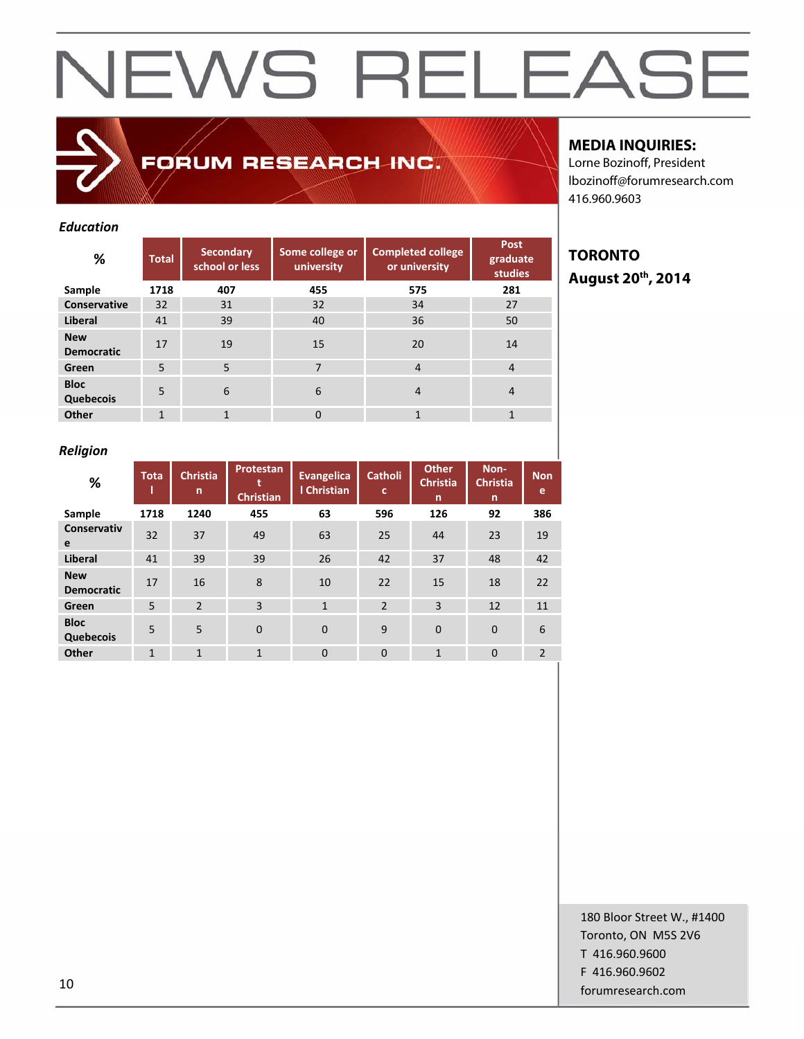#### *Education*

| %                               | <b>Total</b> | <b>Secondary</b><br>school or less | Some college or<br>university | <b>Completed college</b><br>or university | <b>Post</b><br>graduate<br><b>studies</b> |
|---------------------------------|--------------|------------------------------------|-------------------------------|-------------------------------------------|-------------------------------------------|
| Sample                          | 1718         | 407                                | 455                           | 575                                       | 281                                       |
| Conservative                    | 32           | 31                                 | 32                            | 34                                        | 27                                        |
| Liberal                         | 41           | 39                                 | 40                            | 36                                        | 50                                        |
| <b>New</b><br><b>Democratic</b> | 17           | 19                                 | 15                            | 20                                        | 14                                        |
| Green                           | 5            | 5                                  | 7                             | $\overline{4}$                            | 4                                         |
| <b>Bloc</b><br>Quebecois        | 5            | 6                                  | 6                             | $\overline{4}$                            | 4                                         |
| <b>Other</b>                    | $\mathbf{1}$ | 1                                  | $\Omega$                      | $\mathbf{1}$                              | 1                                         |

FORUM RESEARCH INC.

#### **MEDIA INQUIRIES:**

Lorne Bozinoff, President lbozinoff@forumresearch.com 416.960.9603

### **TORONTO August 20th, 2014**

#### *Religion*

| %                               | <b>Tota</b>  | <b>Christia</b><br>n | Protestan<br><b>Christian</b> | <b>Evangelica</b><br>I Christian | <b>Catholi</b><br>c | <b>Other</b><br><b>Christia</b><br>$\mathsf{n}$ | Non-<br><b>Christia</b><br>n | <b>Non</b><br>e |
|---------------------------------|--------------|----------------------|-------------------------------|----------------------------------|---------------------|-------------------------------------------------|------------------------------|-----------------|
| Sample                          | 1718         | 1240                 | 455                           | 63                               | 596                 | 126                                             | 92                           | 386             |
| <b>Conservativ</b><br>e         | 32           | 37                   | 49                            | 63                               | 25                  | 44                                              | 23                           | 19              |
| <b>Liberal</b>                  | 41           | 39                   | 39                            | 26                               | 42                  | 37                                              | 48                           | 42              |
| <b>New</b><br><b>Democratic</b> | 17           | 16                   | 8                             | 10                               | 22                  | 15                                              | 18                           | 22              |
| Green                           | 5            | $\overline{2}$       | 3                             | $\mathbf{1}$                     | $\overline{2}$      | 3                                               | 12                           | 11              |
| <b>Bloc</b><br>Quebecois        | 5            | 5                    | $\overline{0}$                | $\Omega$                         | 9                   | $\mathbf{0}$                                    | $\mathbf 0$                  | 6               |
| Other                           | $\mathbf{1}$ | $\mathbf{1}$         | $\mathbf{1}$                  | $\Omega$                         | $\mathbf{0}$        | $\mathbf{1}$                                    | $\mathbf 0$                  | $\overline{2}$  |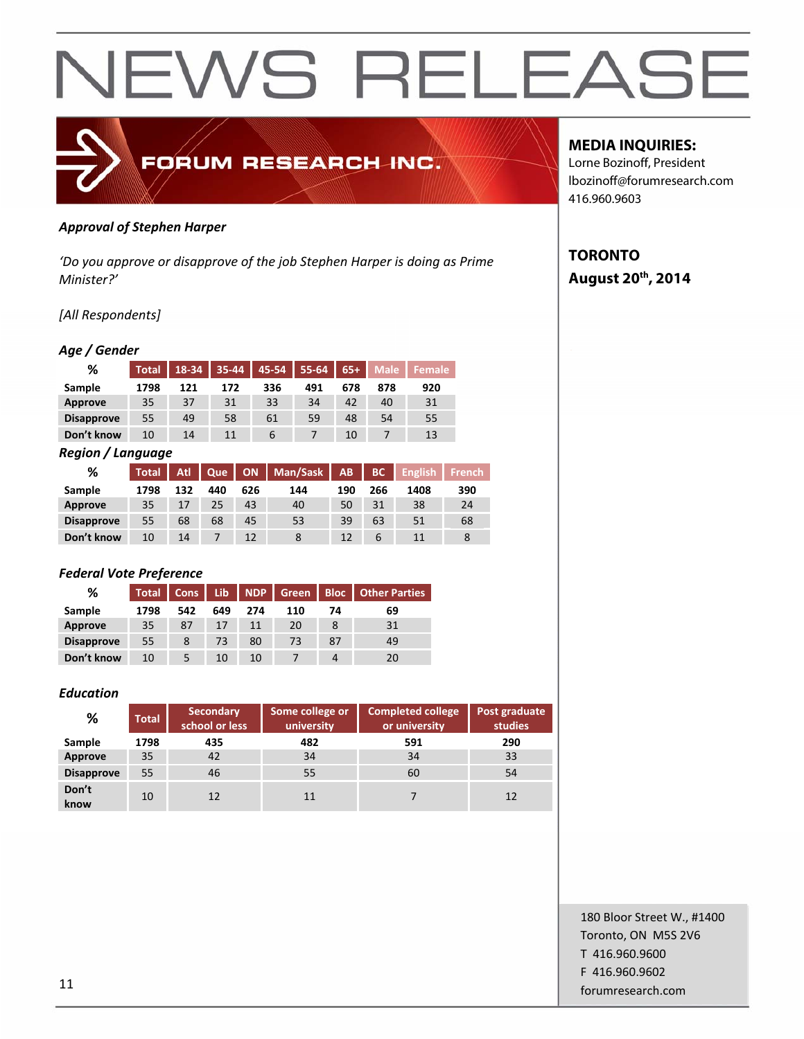

#### *Approval of Stephen Harper*

*'Do you approve or disapprove of the job Stephen Harper is doing as Prime Minister?'*

#### *[All Respondents]*

#### *Age / Gender*

| %                 | Total | $18-34$ | 35-44 | 45-54 | 55-64 | $65+$ | <b>Male</b> | <b>Female</b> |
|-------------------|-------|---------|-------|-------|-------|-------|-------------|---------------|
| Sample            | 1798  | 121     | 172   | 336   | 491   | 678   | 878         | 920           |
| <b>Approve</b>    | 35    | 37      | 31    | 33    | 34    | 42    | 40          | 31            |
| <b>Disapprove</b> | 55    | 49      | 58    | 61    | 59    | 48    | 54          | 55            |
| Don't know        | 10    | 14      | 11    | b     |       | 10    |             | 13            |

#### *Region / Language*

| %                 | <b>Total</b> | Atl | Que |     | ON   Man/Sask | AB  | BC  | <b>English</b> | <b>French</b> |
|-------------------|--------------|-----|-----|-----|---------------|-----|-----|----------------|---------------|
| Sample            | 1798         | 132 | 440 | 626 | 144           | 190 | 266 | 1408           | 390           |
| Approve           | 35           | 17  | 25  | 43  | 40            | 50  | 31  | 38             | 24            |
| <b>Disapprove</b> | 55           | 68  | 68  | 45  | 53            | 39  | 63  | 51             | 68            |
| Don't know        | 10           | 14  |     | 12  |               | 12  | 6   | 11             | 8             |

#### *Federal Vote Preference*

| ℅                 | <b>Total</b> | <b>Cons</b> | Lib | <b>NDP</b> | <b>Green</b> |    | <b>Bloc</b>   Other Parties |
|-------------------|--------------|-------------|-----|------------|--------------|----|-----------------------------|
| Sample            | 1798         | 542         | 649 | 274        | 110          | 74 | 69                          |
| Approve           | 35           | 87          | 17  | 11         | 20           | 8  | 31                          |
| <b>Disapprove</b> | 55           | 8           | 73  | 80         | 73           | 87 | 49                          |
| Don't know        | 10           |             | 10  | 10         |              |    | 20                          |

#### *Education*

| %                 | <b>Total</b> | Secondary<br>school or less | <b>Completed college</b><br>Some college or<br>or university<br>university |     | Post graduate<br>studies |
|-------------------|--------------|-----------------------------|----------------------------------------------------------------------------|-----|--------------------------|
| Sample            | 1798         | 435                         | 482                                                                        | 591 | 290                      |
| Approve           | 35           | 42                          | 34                                                                         | 34  | 33                       |
| <b>Disapprove</b> | 55           | 46                          | 55                                                                         | 60  | 54                       |
| Don't<br>know     | 10           | 12                          | 11                                                                         |     | 12                       |

#### **MEDIA INQUIRIES:**

Lorne Bozinoff, President lbozinoff@forumresearch.com 416.960.9603

### **TORONTO August 20th, 2014**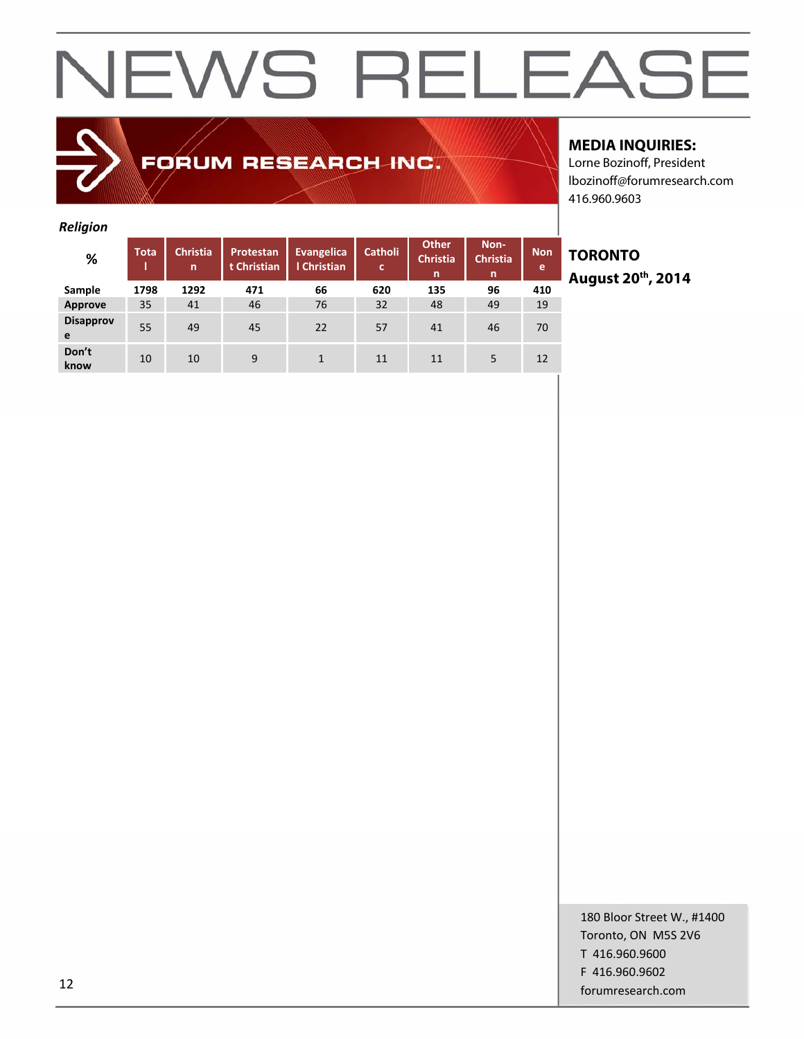### FORUM RESEARCH INC.

#### **MEDIA INQUIRIES:**

Lorne Bozinoff, President lbozinoff@forumresearch.com 416.960.9603

#### *Religion*

| -                     |             |                      |                          |                                  |                     |                                      |                              |                 |
|-----------------------|-------------|----------------------|--------------------------|----------------------------------|---------------------|--------------------------------------|------------------------------|-----------------|
| %                     | <b>Tota</b> | <b>Christia</b><br>n | Protestan<br>t Christian | <b>Evangelica</b><br>I Christian | <b>Catholi</b><br>c | <b>Other</b><br><b>Christia</b><br>n | Non-<br><b>Christia</b><br>n | <b>Non</b><br>e |
| Sample                | 1798        | 1292                 | 471                      | 66                               | 620                 | 135                                  | 96                           | 410             |
| Approve               | 35          | 41                   | 46                       | 76                               | 32                  | 48                                   | 49                           | 19              |
| <b>Disapprov</b><br>e | 55          | 49                   | 45                       | 22                               | 57                  | 41                                   | 46                           | 70              |
| Don't<br>know         | 10          | 10                   | 9                        | 1                                | 11                  | 11                                   | 5                            | 12              |

### **TORONTO August 20th, 2014**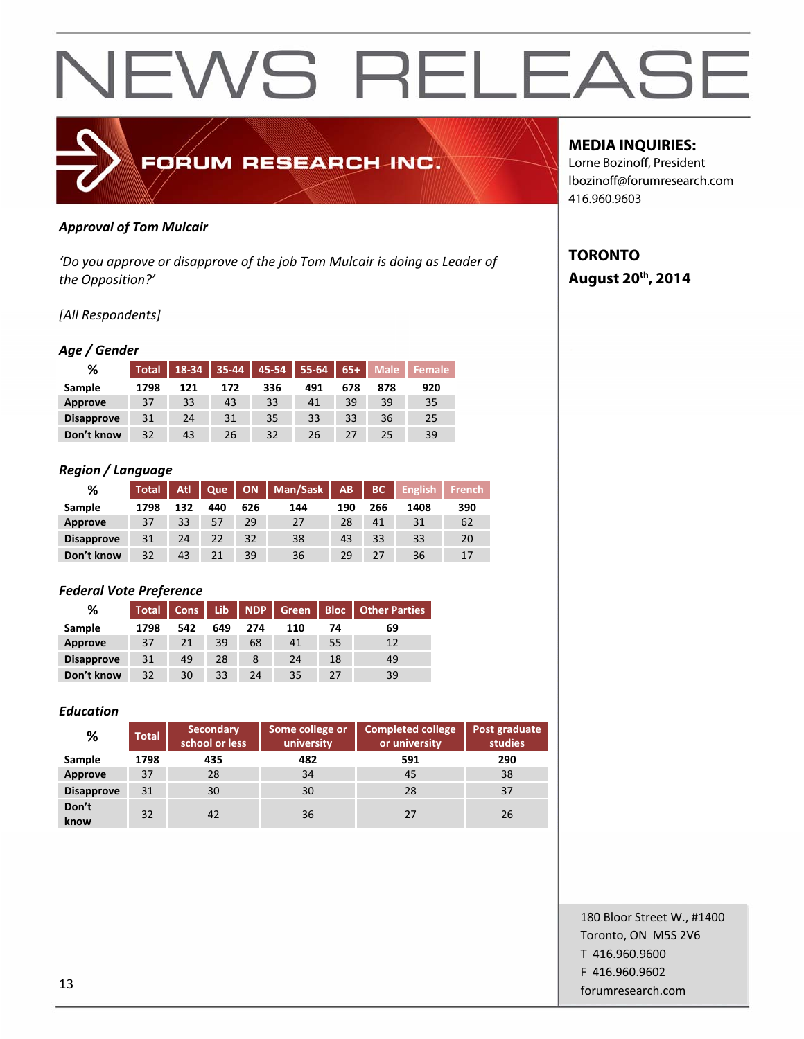

#### *Approval of Tom Mulcair*

*'Do you approve or disapprove of the job Tom Mulcair is doing as Leader of the Opposition?'*

#### *[All Respondents]*

#### *Age / Gender*

| %                 | <b>Total</b> | 18-34 | $35 - 44$ | 45-54 | 55-64 | $65+$ | Male. | <b>Female</b> ' |
|-------------------|--------------|-------|-----------|-------|-------|-------|-------|-----------------|
| Sample            | 1798         | 121   | 172       | 336   | 491   | 678   | 878   | 920             |
| Approve           | 37           | 33    | 43        | 33    | 41    | 39    | 39    | 35              |
| <b>Disapprove</b> | 31           | 24    | 31        | 35    | 33    | 33    | 36    | 25              |
| Don't know        | 32           | 43    | 26        | 32    | 26    |       | 25    | 39              |

#### *Region / Language*

| %                 | Total <sup>1</sup> | Atl | Que |     | ON   Man/Sask | AB  | BC  | <b>English</b> | <b>French</b> |
|-------------------|--------------------|-----|-----|-----|---------------|-----|-----|----------------|---------------|
| Sample            | 1798               | 132 | 440 | 626 | 144           | 190 | 266 | 1408           | 390           |
| Approve           | 37                 | 33  | 57  | 29  | 27            | 28  | 41  | 31             | 62            |
| <b>Disapprove</b> | 31                 | 24  | 22  | 32  | 38            | 43  | 33  | 33             | 20            |
| Don't know        | 32                 | 43  |     | 39  | 36            | 29  | 27  | 36             | 17            |

#### *Federal Vote Preference*

| %                 | <b>Total</b> | Cons | Lib |     | NDP Green |    | <b>Bloc</b>   Other Parties |
|-------------------|--------------|------|-----|-----|-----------|----|-----------------------------|
| Sample            | 1798         | 542  | 649 | 274 | 110       | 74 | 69                          |
| <b>Approve</b>    | 37           | 21   | 39  | 68  | 41        | 55 | 12                          |
| <b>Disapprove</b> | 31           | 49   | 28  |     | 24        | 18 | 49                          |
| Don't know        | 32           | 30   | 33  | 24  | 35        | 27 | 39                          |

#### *Education*

| %                 | <b>Total</b> | <b>Secondary</b><br>school or less | Some college or<br>university | <b>Completed college</b><br>or university | Post graduate<br>studies |
|-------------------|--------------|------------------------------------|-------------------------------|-------------------------------------------|--------------------------|
| Sample            | 1798         | 435                                | 482                           | 591                                       | 290                      |
| Approve           | 37           | 28                                 | 34                            | 45                                        | 38                       |
| <b>Disapprove</b> | 31           | 30                                 | 30                            | 28                                        | 37                       |
| Don't<br>know     | 32           | 42                                 | 36                            | 27                                        | 26                       |

#### **MEDIA INQUIRIES:**

Lorne Bozinoff, President lbozinoff@forumresearch.com 416.960.9603

#### **TORONTO August 20th, 2014**

180 Bloor Street W., #1400 Toronto, ON M5S 2V6 T 416.960.9600 F 416.960.9602 forumresearch.com and the set of the set of the set of the set of the set of the set of the set of the set of the set of the set of the set of the set of the set of the set of the set of the set of the set of the set of th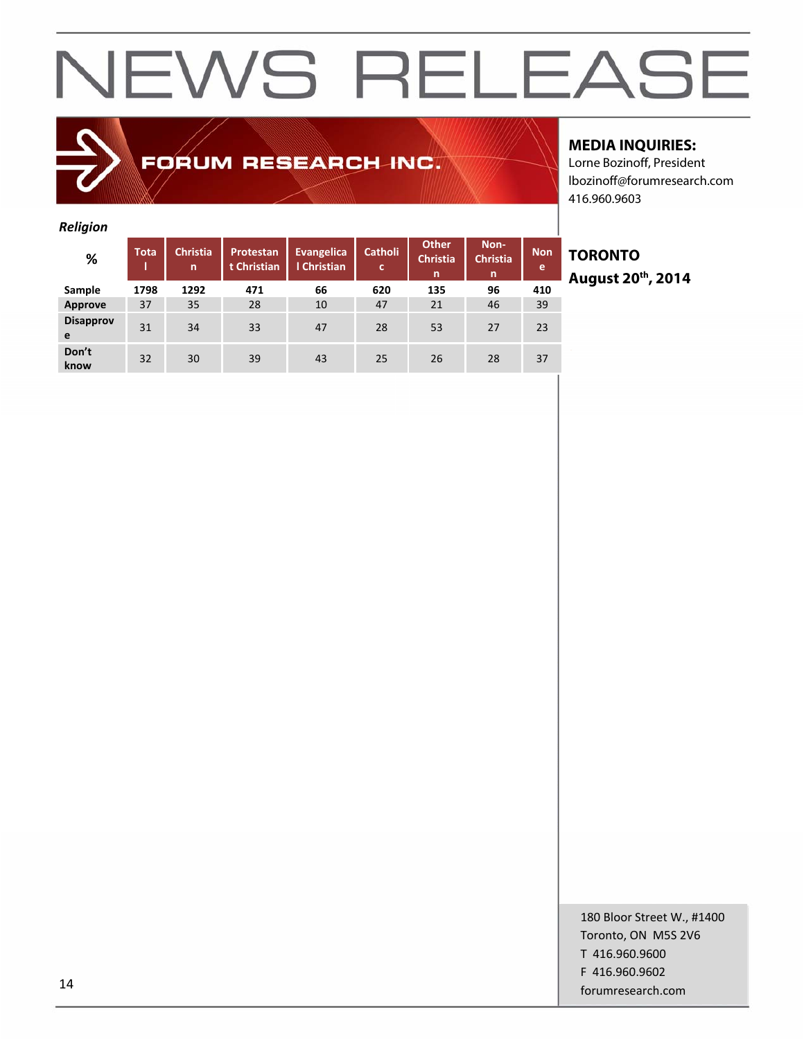### FORUM RESEARCH INC.

#### **MEDIA INQUIRIES:**

Lorne Bozinoff, President lbozinoff@forumresearch.com 416.960.9603

#### *Religion*

| -                     |             |                      |                                 |                                  |                     |                                      |                              |                 |
|-----------------------|-------------|----------------------|---------------------------------|----------------------------------|---------------------|--------------------------------------|------------------------------|-----------------|
| %                     | <b>Tota</b> | <b>Christia</b><br>n | <b>Protestan</b><br>t Christian | <b>Evangelica</b><br>I Christian | <b>Catholi</b><br>c | <b>Other</b><br><b>Christia</b><br>n | Non-<br><b>Christia</b><br>n | <b>Non</b><br>e |
| Sample                | 1798        | 1292                 | 471                             | 66                               | 620                 | 135                                  | 96                           | 410             |
| Approve               | 37          | 35                   | 28                              | 10                               | 47                  | 21                                   | 46                           | 39              |
| <b>Disapprov</b><br>e | 31          | 34                   | 33                              | 47                               | 28                  | 53                                   | 27                           | 23              |
| Don't<br>know         | 32          | 30                   | 39                              | 43                               | 25                  | 26                                   | 28                           | 37              |

**TORONTO August 20th, 2014**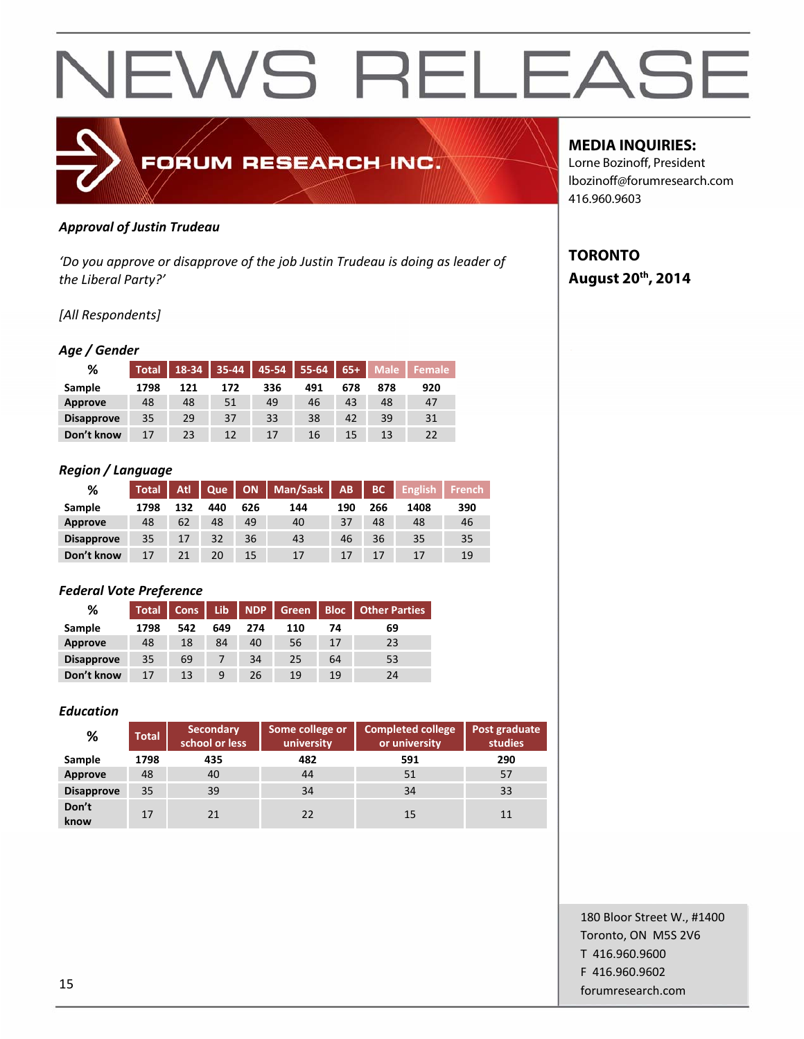

#### *Approval of Justin Trudeau*

*'Do you approve or disapprove of the job Justin Trudeau is doing as leader of the Liberal Party?'*

#### *[All Respondents]*

#### *Age / Gender*

| ℅                 | <b>Total</b> | 18-34 | $35 - 44$ | 45-54 | 55-64 | $65+$ | <b>Male</b> | <b>Female</b> |
|-------------------|--------------|-------|-----------|-------|-------|-------|-------------|---------------|
| Sample            | 1798         | 121   | 172       | 336   | 491   | 678   | 878         | 920           |
| <b>Approve</b>    | 48           | 48    | 51        | 49    | 46    | 43    | 48          | 47            |
| <b>Disapprove</b> | 35           | 29    | 37        | 33    | 38    | 42    | 39          | 31            |
| Don't know        |              | 23    | 12        | 17    | 16    | 15    | 13          | 22            |

#### *Region / Language*

| %                 | Total <sup>'</sup> | Atl | Que |     | ON   Man/Sask | AB  | BC  | <b>English</b> | <b>French</b> |
|-------------------|--------------------|-----|-----|-----|---------------|-----|-----|----------------|---------------|
| Sample            | 1798               | 132 | 440 | 626 | 144           | 190 | 266 | 1408           | 390           |
| Approve           | 48                 | 62  | 48  | 49  | 40            | 37  | 48  | 48             | 46            |
| <b>Disapprove</b> | 35                 | 17  | 32  | 36  | 43            | 46  | 36  | 35             | 35            |
| Don't know        | 17                 | 21  | 20  | 15  | 17            |     | 17  | 17             | 19            |

#### *Federal Vote Preference*

| %                 | <b>Total</b> | Cons | Lib | NDP | Green |    | <b>Bloc</b>   Other Parties |
|-------------------|--------------|------|-----|-----|-------|----|-----------------------------|
| Sample            | 1798         | 542  | 649 | 274 | 110   | 74 | 69                          |
| <b>Approve</b>    | 48           | 18   | 84  | 40  | 56    | 17 | 23                          |
| <b>Disapprove</b> | 35           | 69   |     | 34  | 25    | 64 | 53                          |
| Don't know        | 17           | 13   | 9   | 26  | 19    | 19 | 24                          |

#### *Education*

| %                 | <b>Total</b> | <b>Secondary</b><br>school or less | Some college or<br>university |     | Post graduate<br>studies |
|-------------------|--------------|------------------------------------|-------------------------------|-----|--------------------------|
| Sample            | 1798         | 435                                | 482                           | 591 | 290                      |
| Approve           | 48           | 40                                 | 44                            | 51  | 57                       |
| <b>Disapprove</b> | 35           | 39                                 | 34                            | 34  | 33                       |
| Don't<br>know     | 17           | 21                                 | 22                            | 15  | 11                       |

#### **MEDIA INQUIRIES:**

Lorne Bozinoff, President lbozinoff@forumresearch.com 416.960.9603

### **TORONTO August 20th, 2014**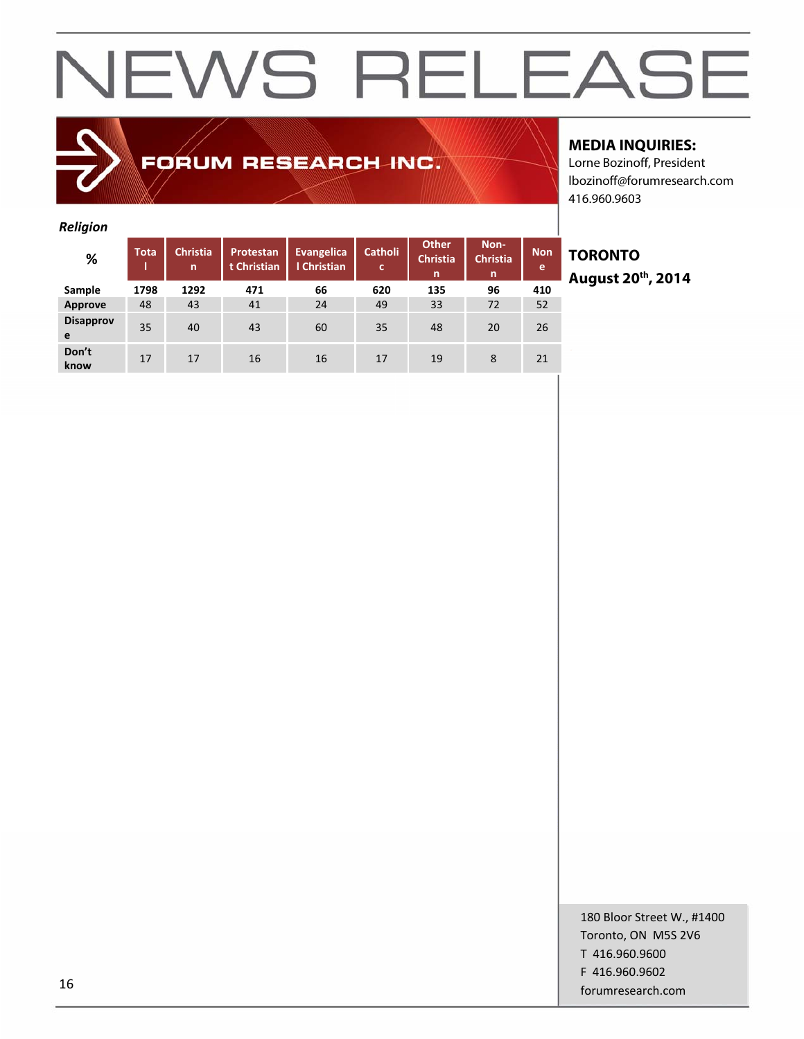### FORUM RESEARCH INC.

#### **MEDIA INQUIRIES:**

Lorne Bozinoff, President lbozinoff@forumresearch.com 416.960.9603

#### *Religion*

| -                     |             |                      |                          |                                  |                     |                                      |                              |                 |
|-----------------------|-------------|----------------------|--------------------------|----------------------------------|---------------------|--------------------------------------|------------------------------|-----------------|
| %                     | <b>Tota</b> | <b>Christia</b><br>n | Protestan<br>t Christian | <b>Evangelica</b><br>I Christian | <b>Catholi</b><br>c | <b>Other</b><br><b>Christia</b><br>n | Non-<br><b>Christia</b><br>n | <b>Non</b><br>e |
| Sample                | 1798        | 1292                 | 471                      | 66                               | 620                 | 135                                  | 96                           | 410             |
| <b>Approve</b>        | 48          | 43                   | 41                       | 24                               | 49                  | 33                                   | 72                           | 52              |
| <b>Disapprov</b><br>e | 35          | 40                   | 43                       | 60                               | 35                  | 48                                   | 20                           | 26              |
| Don't<br>know         | 17          | 17                   | 16                       | 16                               | 17                  | 19                                   | 8                            | 21              |

### **TORONTO August 20th, 2014**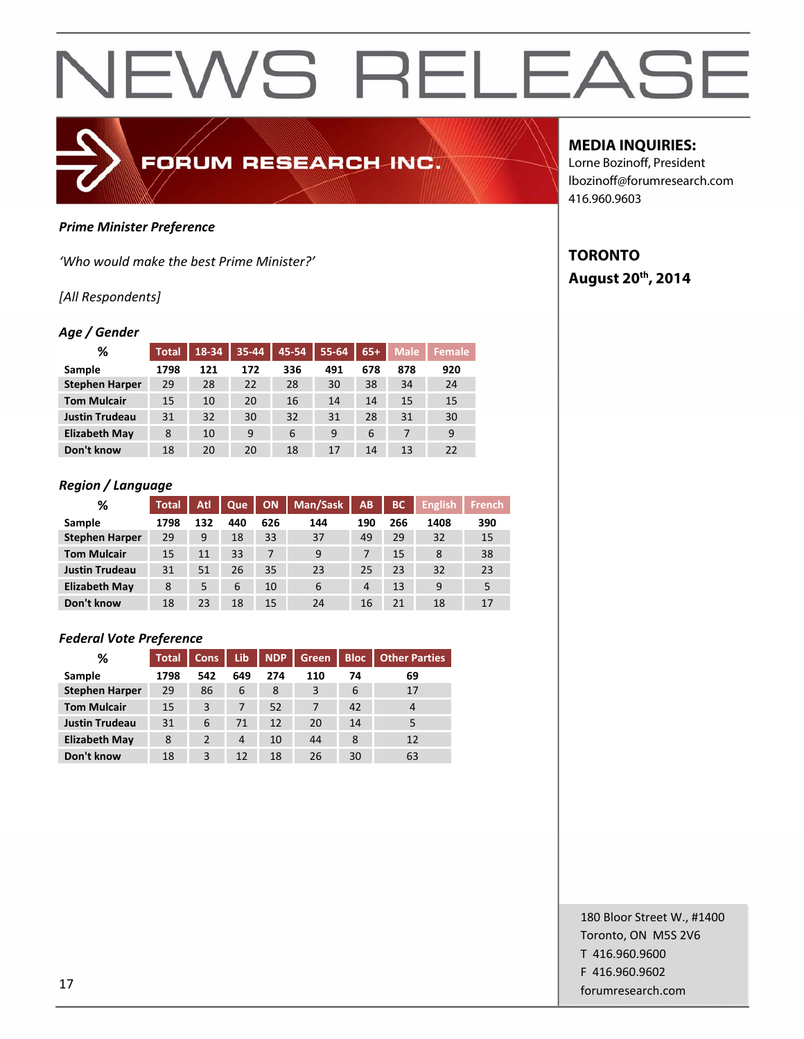#### *Prime Minister Preference*

*'Who would make the best Prime Minister?'*

#### *[All Respondents]*

#### *Age / Gender*

| %                     | <b>Total</b> | 18-34 | 35-44 | 45-54 | $55 - 64$ | $65+$ | <b>Male</b> | <b>Female</b> |
|-----------------------|--------------|-------|-------|-------|-----------|-------|-------------|---------------|
| Sample                | 1798         | 121   | 172   | 336   | 491       | 678   | 878         | 920           |
| <b>Stephen Harper</b> | 29           | 28    | 22    | 28    | 30        | 38    | 34          | 24            |
| <b>Tom Mulcair</b>    | 15           | 10    | 20    | 16    | 14        | 14    | 15          | 15            |
| <b>Justin Trudeau</b> | 31           | 32    | 30    | 32    | 31        | 28    | 31          | 30            |
| <b>Elizabeth May</b>  | 8            | 10    | 9     | 6     | 9         | 6     | 7           | 9             |
| Don't know            | 18           | 20    | 20    | 18    | 17        | 14    | 13          | 22            |

FORUM RESEARCH INC.

#### *Region / Language*

| %                     | <b>Total</b> | Atl | Que | <b>ON</b> | Man/Sask | AB             | ВC  | <b>English</b> | <b>French</b> |
|-----------------------|--------------|-----|-----|-----------|----------|----------------|-----|----------------|---------------|
| Sample                | 1798         | 132 | 440 | 626       | 144      | 190            | 266 | 1408           | 390           |
| <b>Stephen Harper</b> | 29           | 9   | 18  | 33        | 37       | 49             | 29  | 32             | 15            |
| <b>Tom Mulcair</b>    | 15           | 11  | 33  |           | 9        |                | 15  | 8              | 38            |
| <b>Justin Trudeau</b> | 31           | 51  | 26  | 35        | 23       | 25             | 23  | 32             | 23            |
| <b>Elizabeth May</b>  | 8            | 5   | 6   | 10        | 6        | $\overline{4}$ | 13  | 9              | 5             |
| Don't know            | 18           | 23  | 18  | 15        | 24       | 16             | 21  | 18             | 17            |

#### *Federal Vote Preference*

| ℅                     | <b>Total</b> | <b>Cons</b> | Lib            | <b>NDP</b> | Green | <b>Bloc</b> | <b>Other Parties</b> |  |
|-----------------------|--------------|-------------|----------------|------------|-------|-------------|----------------------|--|
| Sample                | 1798         | 542         | 649            | 274        | 110   | 74          | 69                   |  |
| <b>Stephen Harper</b> | 29           | 86          | 6              | 8          | 3     | 6           | 17                   |  |
| <b>Tom Mulcair</b>    | 15           | 3           |                | 52         |       | 42          | 4                    |  |
| <b>Justin Trudeau</b> | 31           | 6           | 71             | 12         | 20    | 14          | 5                    |  |
| <b>Elizabeth May</b>  | 8            | 2           | $\overline{4}$ | 10         | 44    | 8           | 12                   |  |
| Don't know            | 18           | 3           | 12             | 18         | 26    | 30          | 63                   |  |

#### **MEDIA INQUIRIES:**

Lorne Bozinoff, President lbozinoff@forumresearch.com 416.960.9603

#### **TORONTO August 20th, 2014**